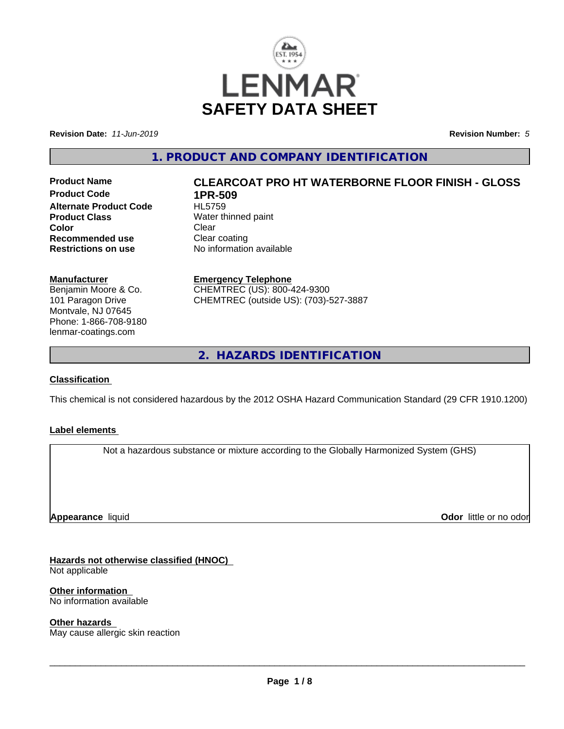

**Revision Date:** *11-Jun-2019* **Revision Number:** *5*

**1. PRODUCT AND COMPANY IDENTIFICATION**

**Product Code 1PR-509**<br>**Alternate Product Code HL5759 Alternate Product Code Product Class**<br>
Color
Color
Color
Clear
Clear
Clear
Clear
Clear
Clear
Clear
Clear
Clear
Clear
Clear
Clear
Clear
Clear
Clear
Clear
Clear
Clear
Clear
Clear
Clear
Clear
Clear
Clear
Clear
Clear
Clear
Clear
Clear
Clear
Clear
C **Color** Clear Clear **Recommended use Clear coating<br>
<b>Restrictions on use** No information

# **Product Name CLEARCOAT PRO HT WATERBORNE FLOOR FINISH - GLOSS**

**No information available** 

**Manufacturer**

Benjamin Moore & Co. 101 Paragon Drive Montvale, NJ 07645 Phone: 1-866-708-9180 lenmar-coatings.com

### **Emergency Telephone**

CHEMTREC (US): 800-424-9300 CHEMTREC (outside US): (703)-527-3887

**2. HAZARDS IDENTIFICATION**

### **Classification**

This chemical is not considered hazardous by the 2012 OSHA Hazard Communication Standard (29 CFR 1910.1200)

### **Label elements**

Not a hazardous substance or mixture according to the Globally Harmonized System (GHS)

**Appearance** liquid

**Odor** little or no odor

**Hazards not otherwise classified (HNOC)**

Not applicable

**Other information**

No information available

### **Other hazards**

May cause allergic skin reaction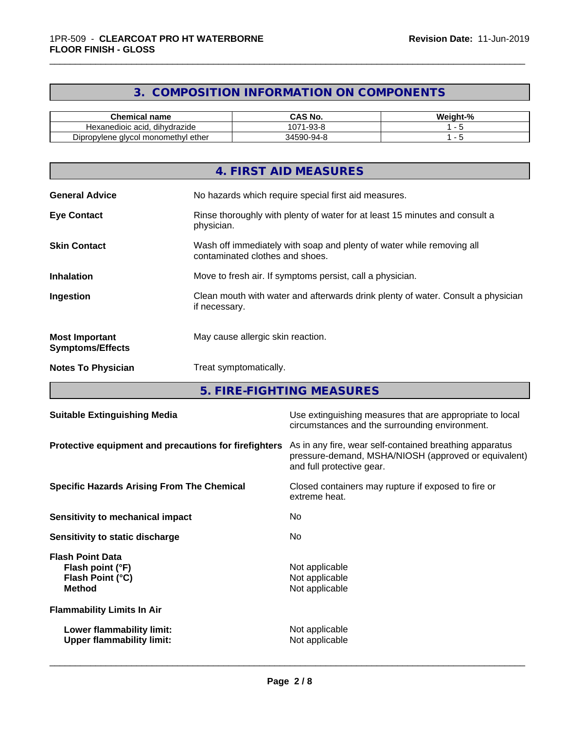### **3. COMPOSITION INFORMATION ON COMPONENTS**

\_\_\_\_\_\_\_\_\_\_\_\_\_\_\_\_\_\_\_\_\_\_\_\_\_\_\_\_\_\_\_\_\_\_\_\_\_\_\_\_\_\_\_\_\_\_\_\_\_\_\_\_\_\_\_\_\_\_\_\_\_\_\_\_\_\_\_\_\_\_\_\_\_\_\_\_\_\_\_\_\_\_\_\_\_\_\_\_\_\_\_\_\_

| <b>Chemical name</b>                                 | CAS No.<br>r٨                     | <br>$\sim$<br>Weight-<br>-70 |
|------------------------------------------------------|-----------------------------------|------------------------------|
| <br>Hexanedioic acid.<br>dihvdrazide                 | 074<br>ററ റ<br>-93-6<br>υı        |                              |
| - -<br>I monomethvl ether<br>Dipropylene<br>alvcol : | በ−ዓ4−ዖ<br>345.Y<br>$\cdot$<br>. . |                              |

|                                                  | 4. FIRST AID MEASURES                                                                                    |
|--------------------------------------------------|----------------------------------------------------------------------------------------------------------|
| <b>General Advice</b>                            | No hazards which require special first aid measures.                                                     |
| <b>Eye Contact</b>                               | Rinse thoroughly with plenty of water for at least 15 minutes and consult a<br>physician.                |
| <b>Skin Contact</b>                              | Wash off immediately with soap and plenty of water while removing all<br>contaminated clothes and shoes. |
| <b>Inhalation</b>                                | Move to fresh air. If symptoms persist, call a physician.                                                |
| Ingestion                                        | Clean mouth with water and afterwards drink plenty of water. Consult a physician<br>if necessary.        |
| <b>Most Important</b><br><b>Symptoms/Effects</b> | May cause allergic skin reaction.                                                                        |
| <b>Notes To Physician</b>                        | Treat symptomatically.                                                                                   |

**5. FIRE-FIGHTING MEASURES**

| <b>Suitable Extinguishing Media</b>                                              | Use extinguishing measures that are appropriate to local<br>circumstances and the surrounding environment.                                   |
|----------------------------------------------------------------------------------|----------------------------------------------------------------------------------------------------------------------------------------------|
| Protective equipment and precautions for firefighters                            | As in any fire, wear self-contained breathing apparatus<br>pressure-demand, MSHA/NIOSH (approved or equivalent)<br>and full protective gear. |
| <b>Specific Hazards Arising From The Chemical</b>                                | Closed containers may rupture if exposed to fire or<br>extreme heat.                                                                         |
| Sensitivity to mechanical impact                                                 | No.                                                                                                                                          |
| Sensitivity to static discharge                                                  | No.                                                                                                                                          |
| <b>Flash Point Data</b><br>Flash point (°F)<br>Flash Point (°C)<br><b>Method</b> | Not applicable<br>Not applicable<br>Not applicable                                                                                           |
| <b>Flammability Limits In Air</b>                                                |                                                                                                                                              |
| Lower flammability limit:<br><b>Upper flammability limit:</b>                    | Not applicable<br>Not applicable                                                                                                             |
|                                                                                  |                                                                                                                                              |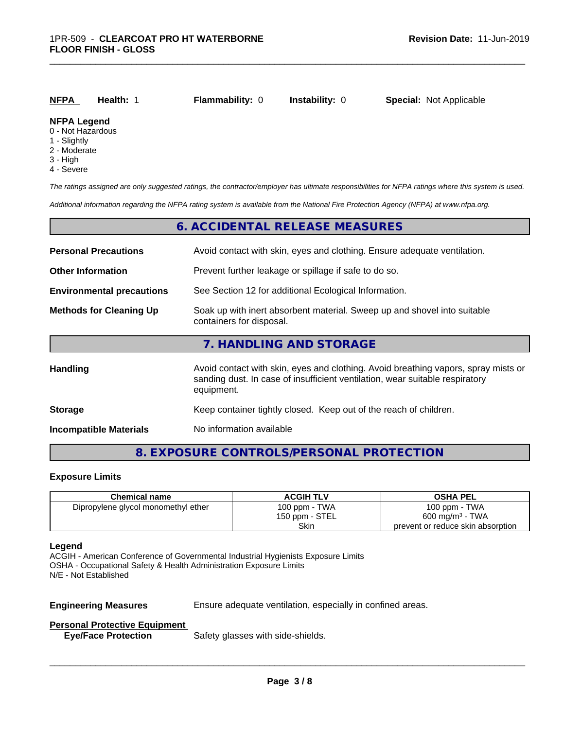| NFPA                    | Health: | <b>Flammability: 0</b> | <b>Instability: 0</b> | <b>Special: Not Applicable</b> |  |
|-------------------------|---------|------------------------|-----------------------|--------------------------------|--|
| <b>NFPA Legend</b><br>. |         |                        |                       |                                |  |

\_\_\_\_\_\_\_\_\_\_\_\_\_\_\_\_\_\_\_\_\_\_\_\_\_\_\_\_\_\_\_\_\_\_\_\_\_\_\_\_\_\_\_\_\_\_\_\_\_\_\_\_\_\_\_\_\_\_\_\_\_\_\_\_\_\_\_\_\_\_\_\_\_\_\_\_\_\_\_\_\_\_\_\_\_\_\_\_\_\_\_\_\_

### 0 - Not Hazardous

- 1 Slightly
- 2 Moderate
- 
- 3 High
- 4 Severe

*The ratings assigned are only suggested ratings, the contractor/employer has ultimate responsibilities for NFPA ratings where this system is used.*

*Additional information regarding the NFPA rating system is available from the National Fire Protection Agency (NFPA) at www.nfpa.org.*

|                                                                                                                                        | 6. ACCIDENTAL RELEASE MEASURES                                                                                                                                                   |  |
|----------------------------------------------------------------------------------------------------------------------------------------|----------------------------------------------------------------------------------------------------------------------------------------------------------------------------------|--|
| <b>Personal Precautions</b>                                                                                                            | Avoid contact with skin, eyes and clothing. Ensure adequate ventilation.                                                                                                         |  |
| <b>Other Information</b>                                                                                                               | Prevent further leakage or spillage if safe to do so.                                                                                                                            |  |
| <b>Environmental precautions</b>                                                                                                       | See Section 12 for additional Ecological Information.                                                                                                                            |  |
| <b>Methods for Cleaning Up</b><br>Soak up with inert absorbent material. Sweep up and shovel into suitable<br>containers for disposal. |                                                                                                                                                                                  |  |
|                                                                                                                                        | 7. HANDLING AND STORAGE                                                                                                                                                          |  |
| Handling                                                                                                                               | Avoid contact with skin, eyes and clothing. Avoid breathing vapors, spray mists or<br>sanding dust. In case of insufficient ventilation, wear suitable respiratory<br>equipment. |  |
| <b>Storage</b>                                                                                                                         | Keep container tightly closed. Keep out of the reach of children.                                                                                                                |  |
| <b>Incompatible Materials</b>                                                                                                          | No information available                                                                                                                                                         |  |

### **8. EXPOSURE CONTROLS/PERSONAL PROTECTION**

### **Exposure Limits**

| <b>Chemical name</b>                | <b>ACGIH TLV</b> | <b>OSHA PEL</b>                   |
|-------------------------------------|------------------|-----------------------------------|
| Dipropylene glycol monomethyl ether | 100 ppm - TWA    | 100 ppm - $TWA$                   |
|                                     | 150 ppm - STEL   | $600 \text{ mg/m}^3$ - TWA        |
|                                     | Skin             | prevent or reduce skin absorption |

### **Legend**

ACGIH - American Conference of Governmental Industrial Hygienists Exposure Limits OSHA - Occupational Safety & Health Administration Exposure Limits N/E - Not Established

**Engineering Measures** Ensure adequate ventilation, especially in confined areas.

 $\overline{\phantom{a}}$  ,  $\overline{\phantom{a}}$  ,  $\overline{\phantom{a}}$  ,  $\overline{\phantom{a}}$  ,  $\overline{\phantom{a}}$  ,  $\overline{\phantom{a}}$  ,  $\overline{\phantom{a}}$  ,  $\overline{\phantom{a}}$  ,  $\overline{\phantom{a}}$  ,  $\overline{\phantom{a}}$  ,  $\overline{\phantom{a}}$  ,  $\overline{\phantom{a}}$  ,  $\overline{\phantom{a}}$  ,  $\overline{\phantom{a}}$  ,  $\overline{\phantom{a}}$  ,  $\overline{\phantom{a}}$ 

### **Personal Protective Equipment**

**Eye/Face Protection** Safety glasses with side-shields.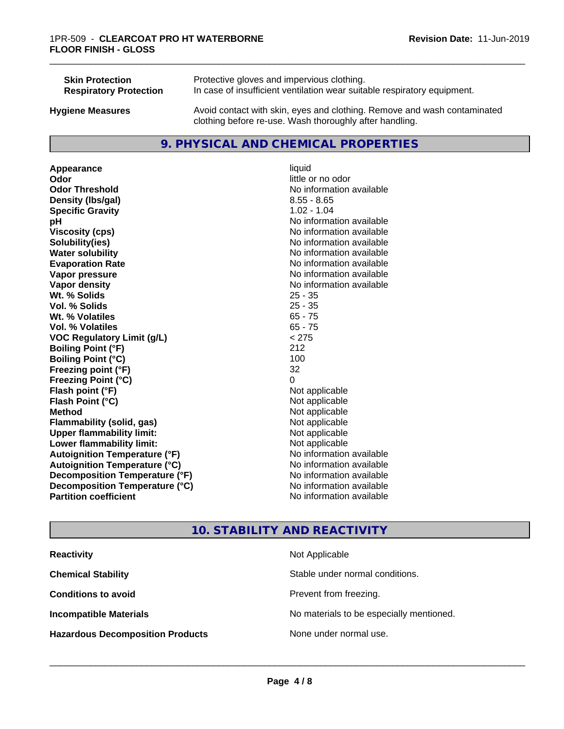| <b>Skin Protection</b>        | Protective gloves and impervious clothing.                                                                                          |
|-------------------------------|-------------------------------------------------------------------------------------------------------------------------------------|
| <b>Respiratory Protection</b> | In case of insufficient ventilation wear suitable respiratory equipment.                                                            |
| <b>Hygiene Measures</b>       | Avoid contact with skin, eyes and clothing. Remove and wash contaminated<br>clothing before re-use. Wash thoroughly after handling. |

### **9. PHYSICAL AND CHEMICAL PROPERTIES**

**Appearance** liquid **Odor** little or no odor **Odor Threshold** No information available **Density (lbs/gal)** 8.55 - 8.65 **Specific Gravity** 1.02 - 1.04 **pH pH**  $\blacksquare$ **Viscosity (cps)** No information available<br> **Solubility (ies)** No information available<br>
No information available **Water solubility** No information available **Evaporation Rate No information available No information available Vapor pressure** No information available **No information available Vapor density No information available No information available Wt. % Solids** 25 - 35 **Vol. % Solids Wt. % Volatiles** 65 - 75 **Vol. % Volatiles** 65 - 75 **VOC Regulatory Limit (g/L)** < 275 **Boiling Point (°F)** 212 **Boiling Point**  $(°C)$  100 **Freezing point (°F)** 32 **Freezing Point (°C)** 0 **Flash point (°F)** Not applicable **Flash Point (°C)** Not applicable **Method** Not applicable<br> **Flammability (solid, gas)** Not applicable Not applicable **Flammability** (solid, gas) **Upper flammability limit:**<br> **Lower flammability limit:** Not applicable Not applicable **Lower flammability limit:**<br> **Autoignition Temperature (°F)** Not applicable havailable **Autoignition Temperature (°F) Autoignition Temperature (°C)** No information available **Decomposition Temperature (°F)** No information available **Decomposition Temperature (°C)**<br> **Partition coefficient**<br> **Partition coefficient**<br> **No** information available

# **Solubility(ies)** No information available **No information available**

\_\_\_\_\_\_\_\_\_\_\_\_\_\_\_\_\_\_\_\_\_\_\_\_\_\_\_\_\_\_\_\_\_\_\_\_\_\_\_\_\_\_\_\_\_\_\_\_\_\_\_\_\_\_\_\_\_\_\_\_\_\_\_\_\_\_\_\_\_\_\_\_\_\_\_\_\_\_\_\_\_\_\_\_\_\_\_\_\_\_\_\_\_

## **10. STABILITY AND REACTIVITY**

| <b>Reactivity</b>                       | Not Applicable                           |
|-----------------------------------------|------------------------------------------|
| <b>Chemical Stability</b>               | Stable under normal conditions.          |
| <b>Conditions to avoid</b>              | Prevent from freezing.                   |
| <b>Incompatible Materials</b>           | No materials to be especially mentioned. |
| <b>Hazardous Decomposition Products</b> | None under normal use.                   |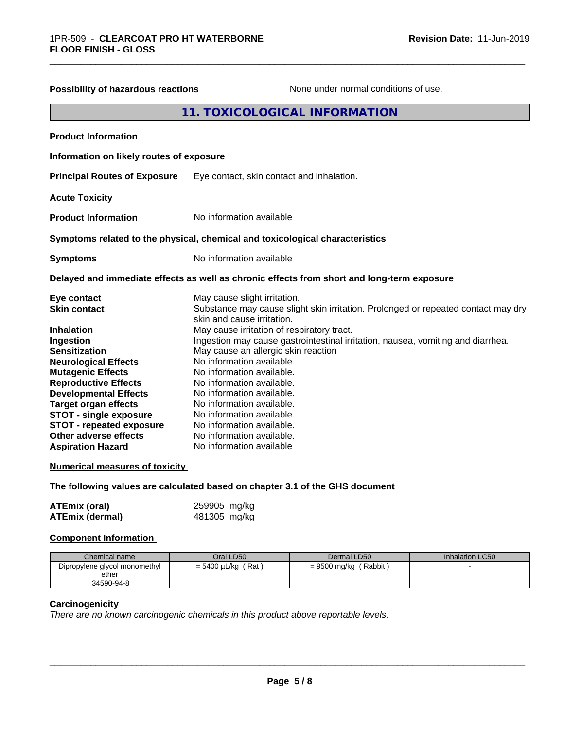| <b>Possibility of hazardous reactions</b>                                                                                                                                                                                                                                                                                                                                                                               | None under normal conditions of use.                                                                                                                                                                                                                                                                                                                                                                                                                                                                                                                                                        |
|-------------------------------------------------------------------------------------------------------------------------------------------------------------------------------------------------------------------------------------------------------------------------------------------------------------------------------------------------------------------------------------------------------------------------|---------------------------------------------------------------------------------------------------------------------------------------------------------------------------------------------------------------------------------------------------------------------------------------------------------------------------------------------------------------------------------------------------------------------------------------------------------------------------------------------------------------------------------------------------------------------------------------------|
|                                                                                                                                                                                                                                                                                                                                                                                                                         | <b>11. TOXICOLOGICAL INFORMATION</b>                                                                                                                                                                                                                                                                                                                                                                                                                                                                                                                                                        |
| <b>Product Information</b>                                                                                                                                                                                                                                                                                                                                                                                              |                                                                                                                                                                                                                                                                                                                                                                                                                                                                                                                                                                                             |
| Information on likely routes of exposure                                                                                                                                                                                                                                                                                                                                                                                |                                                                                                                                                                                                                                                                                                                                                                                                                                                                                                                                                                                             |
| <b>Principal Routes of Exposure</b>                                                                                                                                                                                                                                                                                                                                                                                     | Eye contact, skin contact and inhalation.                                                                                                                                                                                                                                                                                                                                                                                                                                                                                                                                                   |
| <b>Acute Toxicity</b>                                                                                                                                                                                                                                                                                                                                                                                                   |                                                                                                                                                                                                                                                                                                                                                                                                                                                                                                                                                                                             |
| <b>Product Information</b>                                                                                                                                                                                                                                                                                                                                                                                              | No information available                                                                                                                                                                                                                                                                                                                                                                                                                                                                                                                                                                    |
|                                                                                                                                                                                                                                                                                                                                                                                                                         | Symptoms related to the physical, chemical and toxicological characteristics                                                                                                                                                                                                                                                                                                                                                                                                                                                                                                                |
| <b>Symptoms</b>                                                                                                                                                                                                                                                                                                                                                                                                         | No information available                                                                                                                                                                                                                                                                                                                                                                                                                                                                                                                                                                    |
|                                                                                                                                                                                                                                                                                                                                                                                                                         | Delayed and immediate effects as well as chronic effects from short and long-term exposure                                                                                                                                                                                                                                                                                                                                                                                                                                                                                                  |
| Eye contact<br><b>Skin contact</b><br><b>Inhalation</b><br>Ingestion<br><b>Sensitization</b><br><b>Neurological Effects</b><br><b>Mutagenic Effects</b><br><b>Reproductive Effects</b><br><b>Developmental Effects</b><br><b>Target organ effects</b><br><b>STOT - single exposure</b><br><b>STOT - repeated exposure</b><br>Other adverse effects<br><b>Aspiration Hazard</b><br><b>Numerical measures of toxicity</b> | May cause slight irritation.<br>Substance may cause slight skin irritation. Prolonged or repeated contact may dry<br>skin and cause irritation.<br>May cause irritation of respiratory tract.<br>Ingestion may cause gastrointestinal irritation, nausea, vomiting and diarrhea.<br>May cause an allergic skin reaction<br>No information available.<br>No information available.<br>No information available.<br>No information available.<br>No information available.<br>No information available.<br>No information available.<br>No information available.<br>No information available |
|                                                                                                                                                                                                                                                                                                                                                                                                                         | The following values are calculated based on chapter 3.1 of the GHS document                                                                                                                                                                                                                                                                                                                                                                                                                                                                                                                |
| <b>ATEmix (oral)</b>                                                                                                                                                                                                                                                                                                                                                                                                    | 259905 mg/kg                                                                                                                                                                                                                                                                                                                                                                                                                                                                                                                                                                                |

\_\_\_\_\_\_\_\_\_\_\_\_\_\_\_\_\_\_\_\_\_\_\_\_\_\_\_\_\_\_\_\_\_\_\_\_\_\_\_\_\_\_\_\_\_\_\_\_\_\_\_\_\_\_\_\_\_\_\_\_\_\_\_\_\_\_\_\_\_\_\_\_\_\_\_\_\_\_\_\_\_\_\_\_\_\_\_\_\_\_\_\_\_

### **Component Information**

| Chemical name                                        | Oral LD50               | Dermal LD50             | Inhalation LC50 |
|------------------------------------------------------|-------------------------|-------------------------|-----------------|
| Dipropylene glycol monomethyl<br>ether<br>34590-94-8 | $= 5400 \mu L/kg$ (Rat) | $= 9500$ mg/kg (Rabbit) |                 |

### **Carcinogenicity**

*There are no known carcinogenic chemicals in this product above reportable levels.*

**ATEmix (dermal)** 481305 mg/kg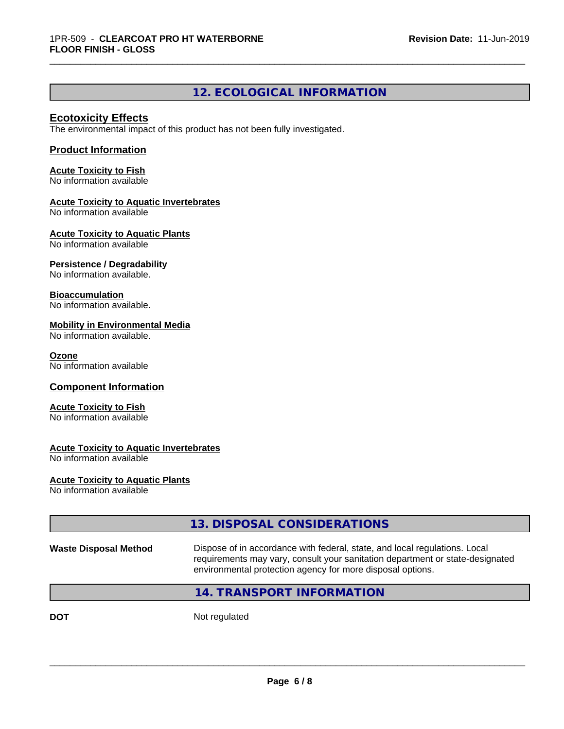### **12. ECOLOGICAL INFORMATION**

\_\_\_\_\_\_\_\_\_\_\_\_\_\_\_\_\_\_\_\_\_\_\_\_\_\_\_\_\_\_\_\_\_\_\_\_\_\_\_\_\_\_\_\_\_\_\_\_\_\_\_\_\_\_\_\_\_\_\_\_\_\_\_\_\_\_\_\_\_\_\_\_\_\_\_\_\_\_\_\_\_\_\_\_\_\_\_\_\_\_\_\_\_

### **Ecotoxicity Effects**

The environmental impact of this product has not been fully investigated.

### **Product Information**

**Acute Toxicity to Fish** No information available

### **Acute Toxicity to Aquatic Invertebrates**

No information available

**Acute Toxicity to Aquatic Plants**

No information available

### **Persistence / Degradability**

No information available.

### **Bioaccumulation**

No information available.

### **Mobility in Environmental Media**

No information available.

### **Ozone**

No information available

### **Component Information**

### **Acute Toxicity to Fish**

No information available

### **Acute Toxicity to Aquatic Invertebrates**

No information available

### **Acute Toxicity to Aquatic Plants**

No information available

|                              | 13. DISPOSAL CONSIDERATIONS                                                                                                                                                                                               |
|------------------------------|---------------------------------------------------------------------------------------------------------------------------------------------------------------------------------------------------------------------------|
| <b>Waste Disposal Method</b> | Dispose of in accordance with federal, state, and local regulations. Local<br>requirements may vary, consult your sanitation department or state-designated<br>environmental protection agency for more disposal options. |
|                              | 14. TRANSPORT INFORMATION                                                                                                                                                                                                 |
| DOT                          | Not regulated                                                                                                                                                                                                             |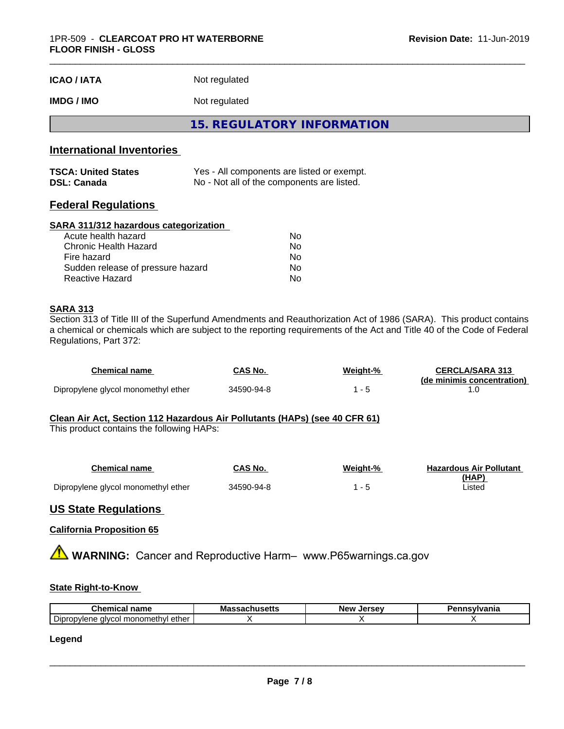| <b>ICAO/IATA</b> | Not regulated |  |
|------------------|---------------|--|
|------------------|---------------|--|

### **IMDG / IMO** Not regulated

**15. REGULATORY INFORMATION**

### **International Inventories**

| <b>TSCA: United States</b> | Yes - All components are listed or exempt. |
|----------------------------|--------------------------------------------|
| <b>DSL: Canada</b>         | No - Not all of the components are listed. |

### **Federal Regulations**

### **SARA 311/312 hazardous categorization**

| Acute health hazard               | Nο |  |
|-----------------------------------|----|--|
| Chronic Health Hazard             | Nο |  |
| Fire hazard                       | Nο |  |
| Sudden release of pressure hazard | Nο |  |
| Reactive Hazard                   | Nο |  |

### **SARA 313**

Section 313 of Title III of the Superfund Amendments and Reauthorization Act of 1986 (SARA). This product contains a chemical or chemicals which are subject to the reporting requirements of the Act and Title 40 of the Code of Federal Regulations, Part 372:

| Chemical name                       | CAS No.    | Weight-% | <b>CERCLA/SARA 313</b><br>(de minimis concentration) |
|-------------------------------------|------------|----------|------------------------------------------------------|
| Dipropylene glycol monomethyl ether | 34590-94-8 |          |                                                      |

### **Clean Air Act,Section 112 Hazardous Air Pollutants (HAPs) (see 40 CFR 61)**

This product contains the following HAPs:

| Chemical name                       | CAS No.    | Weight-% | <b>Hazardous Air Pollutant</b> |
|-------------------------------------|------------|----------|--------------------------------|
|                                     |            |          | (HAP)                          |
| Dipropylene glycol monomethyl ether | 34590-94-8 |          | Listed                         |

### **US State Regulations**

### **California Proposition 65**

**A WARNING:** Cancer and Reproductive Harm– www.P65warnings.ca.gov

### **State Right-to-Know**

| Chemica<br>name<br>.а                                                             | ،۱۱e۵۱۱<br>ма | Jersev<br>New | vlvania |
|-----------------------------------------------------------------------------------|---------------|---------------|---------|
| <u>.</u><br>ether<br>i monomethvl<br>. Dipron<br>ำn⊾<br>.ODVIF<br>$\cdots$<br>. . |               |               |         |

### **Legend**